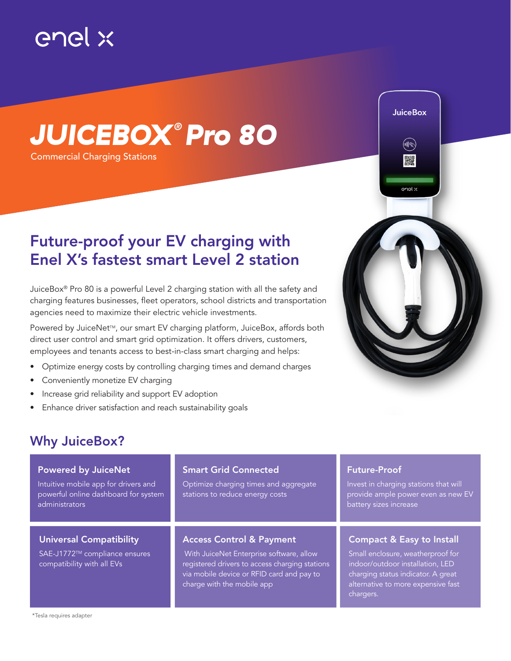

# *JUICEBOX ® Pro 80*

Commercial Charging Stations

## Future-proof your EV charging with Enel X's fastest smart Level 2 station

JuiceBox® Pro 80 is a powerful Level 2 charging station with all the safety and charging features businesses, fleet operators, school districts and transportation agencies need to maximize their electric vehicle investments.

Powered by JuiceNet<sup>™</sup>, our smart EV charging platform, JuiceBox, affords both direct user control and smart grid optimization. It offers drivers, customers, employees and tenants access to best-in-class smart charging and helps:

- Optimize energy costs by controlling charging times and demand charges
- Conveniently monetize EV charging
- Increase grid reliability and support EV adoption
- Enhance driver satisfaction and reach sustainability goals



### Powered by JuiceNet Intuitive mobile app for drivers and powerful online dashboard for system administrators Smart Grid Connected Optimize charging times and aggregate stations to reduce energy costs

### Universal Compatibility

SAE-J1772™ compliance ensures compatibility with all EVs

### Access Control & Payment

 With JuiceNet Enterprise software, allow registered drivers to access charging stations via mobile device or RFID card and pay to charge with the mobile app

### Future-Proof

Invest in charging stations that will provide ample power even as new EV battery sizes increase

**JuiceBox** 

enel x

### Compact & Easy to Install

Small enclosure, weatherproof for indoor/outdoor installation, LED charging status indicator. A great alternative to more expensive fast chargers.

\*Tesla requires adapter